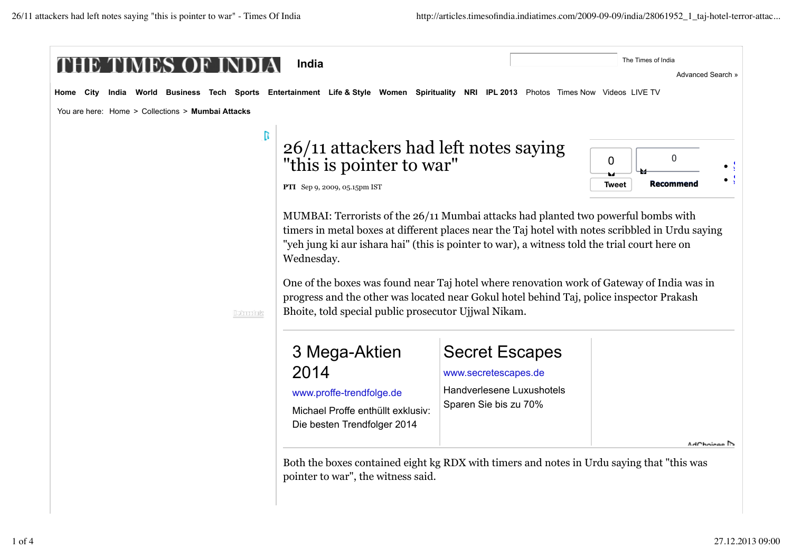| India                                                                                                                                    |                                                                                                                                                                                                                                                                                                                                                                                                                                                                                                                                                         |                                                                                                     | Advanced Search »                                    |
|------------------------------------------------------------------------------------------------------------------------------------------|---------------------------------------------------------------------------------------------------------------------------------------------------------------------------------------------------------------------------------------------------------------------------------------------------------------------------------------------------------------------------------------------------------------------------------------------------------------------------------------------------------------------------------------------------------|-----------------------------------------------------------------------------------------------------|------------------------------------------------------|
| India World Business Tech Sports Entertainment Life & Style Women Spirituality NRI IPL 2013 Photos Times Now Videos LIVE TV<br>Home City |                                                                                                                                                                                                                                                                                                                                                                                                                                                                                                                                                         |                                                                                                     |                                                      |
| You are here: Home > Collections > Mumbai Attacks                                                                                        |                                                                                                                                                                                                                                                                                                                                                                                                                                                                                                                                                         |                                                                                                     |                                                      |
| D                                                                                                                                        | 26/11 attackers had left notes saying<br>"this is pointer to war"<br>PTI Sep 9, 2009, 05.15pm IST                                                                                                                                                                                                                                                                                                                                                                                                                                                       |                                                                                                     | $\mathbf 0$<br>0<br><b>Recommend</b><br><b>Tweet</b> |
| Dataschue                                                                                                                                | MUMBAI: Terrorists of the 26/11 Mumbai attacks had planted two powerful bombs with<br>timers in metal boxes at different places near the Taj hotel with notes scribbled in Urdu saying<br>"yeh jung ki aur ishara hai" (this is pointer to war), a witness told the trial court here on<br>Wednesday.<br>One of the boxes was found near Taj hotel where renovation work of Gateway of India was in<br>progress and the other was located near Gokul hotel behind Taj, police inspector Prakash<br>Bhoite, told special public prosecutor Ujjwal Nikam. |                                                                                                     |                                                      |
|                                                                                                                                          | 3 Mega-Aktien<br>2014<br>www.proffe-trendfolge.de<br>Michael Proffe enthüllt exklusiv:<br>Die besten Trendfolger 2014                                                                                                                                                                                                                                                                                                                                                                                                                                   | <b>Secret Escapes</b><br>www.secretescapes.de<br>Handverlesene Luxushotels<br>Sparen Sie bis zu 70% | AdChaises B                                          |
|                                                                                                                                          | Both the boxes contained eight kg RDX with timers and notes in Urdu saying that "this was<br>pointer to war", the witness said.                                                                                                                                                                                                                                                                                                                                                                                                                         |                                                                                                     |                                                      |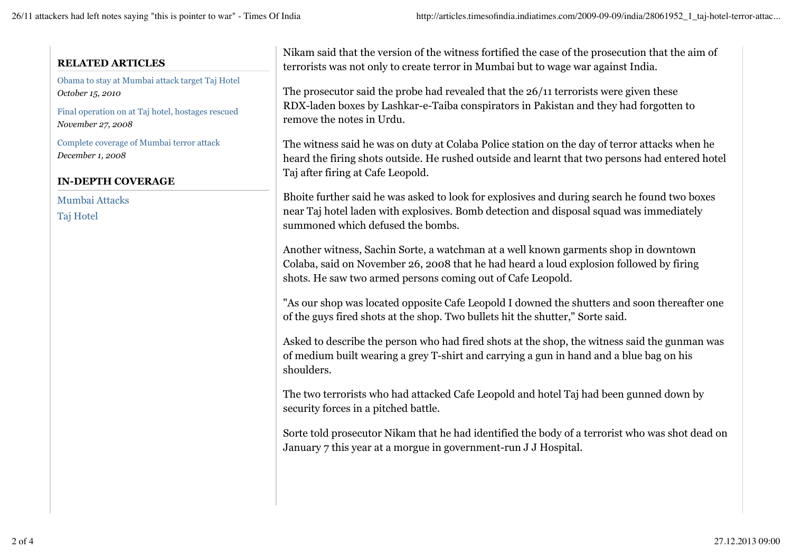#### **RELATED ARTICLES**

Obama to stay at Mumbai attack target Taj Hotel *October 15, 2010*

Final operation on at Taj hotel, hostages rescued *November 27, 2008*

Complete coverage of Mumbai terror attack *December 1, 2008*

#### **IN-DEPTH COVERAGE**

Mumbai Attacks

Taj Hotel

Nikam said that the version of the witness fortified the case of the prosecution that the aim of terrorists was not only to create terror in Mumbai but to wage war against India.

The prosecutor said the probe had revealed that the 26/11 terrorists were given these RDX-laden boxes by Lashkar-e-Taiba conspirators in Pakistan and they had forgotten to remove the notes in Urdu.

The witness said he was on duty at Colaba Police station on the day of terror attacks when he heard the firing shots outside. He rushed outside and learnt that two persons had entered hotel Taj after firing at Cafe Leopold.

Bhoite further said he was asked to look for explosives and during search he found two boxes near Taj hotel laden with explosives. Bomb detection and disposal squad was immediately summoned which defused the bombs.

Another witness, Sachin Sorte, a watchman at a well known garments shop in downtown Colaba, said on November 26, 2008 that he had heard a loud explosion followed by firing shots. He saw two armed persons coming out of Cafe Leopold.

"As our shop was located opposite Cafe Leopold I downed the shutters and soon thereafter one of the guys fired shots at the shop. Two bullets hit the shutter," Sorte said.

Asked to describe the person who had fired shots at the shop, the witness said the gunman was of medium built wearing a grey T-shirt and carrying a gun in hand and a blue bag on his shoulders.

The two terrorists who had attacked Cafe Leopold and hotel Taj had been gunned down by security forces in a pitched battle.

Sorte told prosecutor Nikam that he had identified the body of a terrorist who was shot dead on January 7 this year at a morgue in government-run J J Hospital.